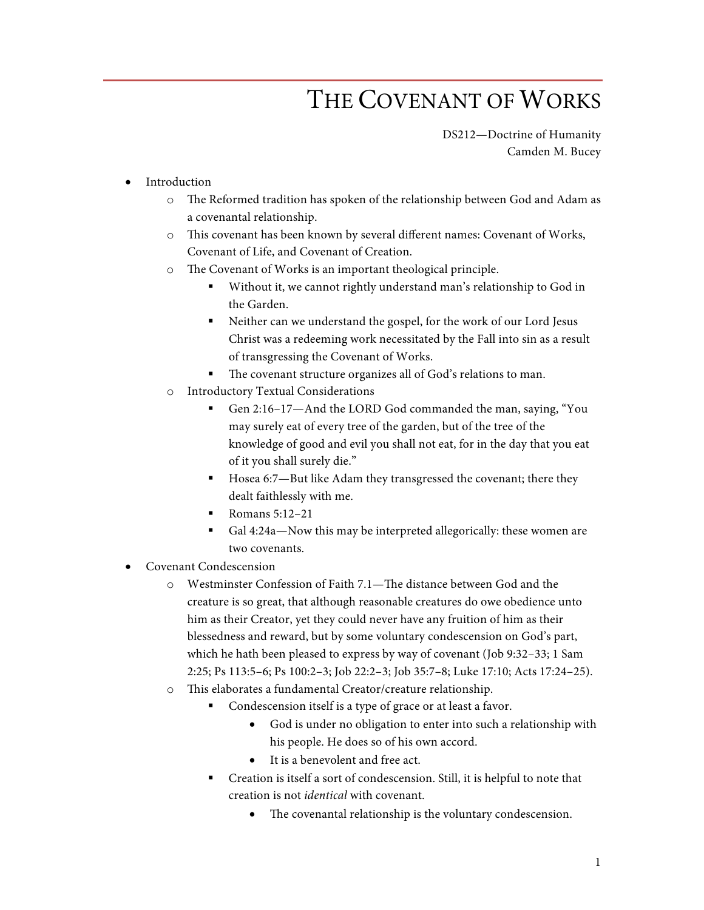## THE COVENANT OF WORKS

DS212—Doctrine of Humanity Camden M. Bucey

- **Introduction** 
	- o The Reformed tradition has spoken of the relationship between God and Adam as a covenantal relationship.
	- o This covenant has been known by several different names: Covenant of Works, Covenant of Life, and Covenant of Creation.
	- o The Covenant of Works is an important theological principle.
		- § Without it, we cannot rightly understand man's relationship to God in the Garden.
		- Neither can we understand the gospel, for the work of our Lord Jesus Christ was a redeeming work necessitated by the Fall into sin as a result of transgressing the Covenant of Works.
		- The covenant structure organizes all of God's relations to man.
	- o Introductory Textual Considerations
		- § Gen 2:16–17—And the LORD God commanded the man, saying, "You may surely eat of every tree of the garden, but of the tree of the knowledge of good and evil you shall not eat, for in the day that you eat of it you shall surely die."
		- Hosea 6:7—But like Adam they transgressed the covenant; there they dealt faithlessly with me.
		- Romans  $5:12-21$
		- Gal 4:24a—Now this may be interpreted allegorically: these women are two covenants.
- Covenant Condescension
	- o Westminster Confession of Faith 7.1—The distance between God and the creature is so great, that although reasonable creatures do owe obedience unto him as their Creator, yet they could never have any fruition of him as their blessedness and reward, but by some voluntary condescension on God's part, which he hath been pleased to express by way of covenant (Job 9:32–33; 1 Sam 2:25; Ps 113:5–6; Ps 100:2–3; Job 22:2–3; Job 35:7–8; Luke 17:10; Acts 17:24–25).
	- o This elaborates a fundamental Creator/creature relationship.
		- Condescension itself is a type of grace or at least a favor.
			- God is under no obligation to enter into such a relationship with his people. He does so of his own accord.
			- It is a benevolent and free act.
		- Creation is itself a sort of condescension. Still, it is helpful to note that creation is not *identical* with covenant.
			- The covenantal relationship is the voluntary condescension.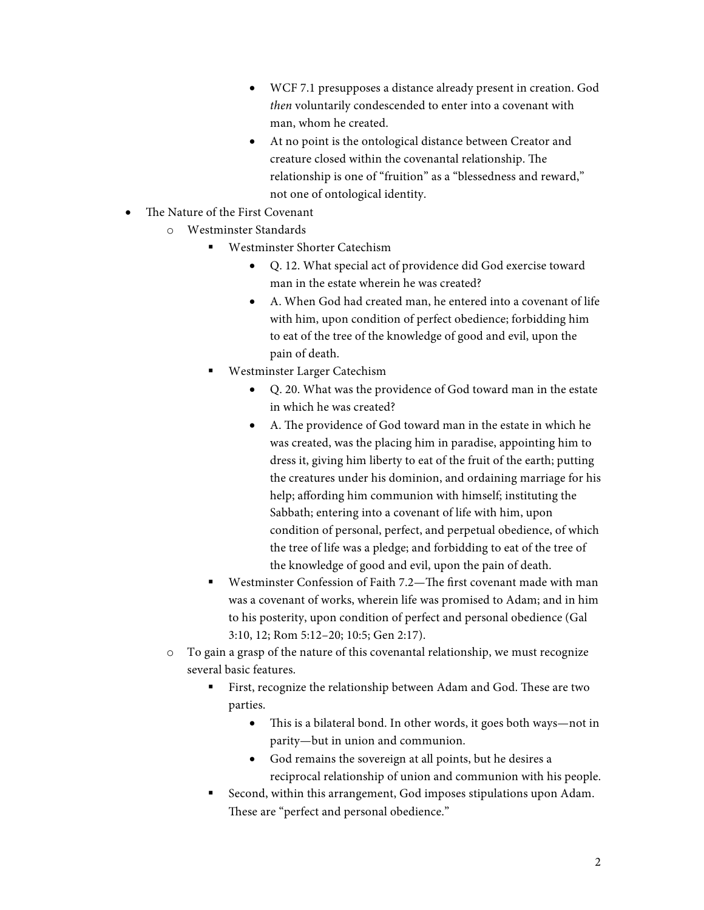- WCF 7.1 presupposes a distance already present in creation. God *then* voluntarily condescended to enter into a covenant with man, whom he created.
- At no point is the ontological distance between Creator and creature closed within the covenantal relationship. The relationship is one of "fruition" as a "blessedness and reward," not one of ontological identity.
- The Nature of the First Covenant
	- o Westminster Standards
		- Westminster Shorter Catechism
			- Q. 12. What special act of providence did God exercise toward man in the estate wherein he was created?
			- A. When God had created man, he entered into a covenant of life with him, upon condition of perfect obedience; forbidding him to eat of the tree of the knowledge of good and evil, upon the pain of death.
		- § Westminster Larger Catechism
			- Q. 20. What was the providence of God toward man in the estate in which he was created?
			- A. The providence of God toward man in the estate in which he was created, was the placing him in paradise, appointing him to dress it, giving him liberty to eat of the fruit of the earth; putting the creatures under his dominion, and ordaining marriage for his help; affording him communion with himself; instituting the Sabbath; entering into a covenant of life with him, upon condition of personal, perfect, and perpetual obedience, of which the tree of life was a pledge; and forbidding to eat of the tree of the knowledge of good and evil, upon the pain of death.
		- Westminster Confession of Faith 7.2—The first covenant made with man was a covenant of works, wherein life was promised to Adam; and in him to his posterity, upon condition of perfect and personal obedience (Gal 3:10, 12; Rom 5:12–20; 10:5; Gen 2:17).
	- o To gain a grasp of the nature of this covenantal relationship, we must recognize several basic features.
		- First, recognize the relationship between Adam and God. These are two parties.
			- This is a bilateral bond. In other words, it goes both ways—not in parity—but in union and communion.
			- God remains the sovereign at all points, but he desires a reciprocal relationship of union and communion with his people.
		- § Second, within this arrangement, God imposes stipulations upon Adam. These are "perfect and personal obedience."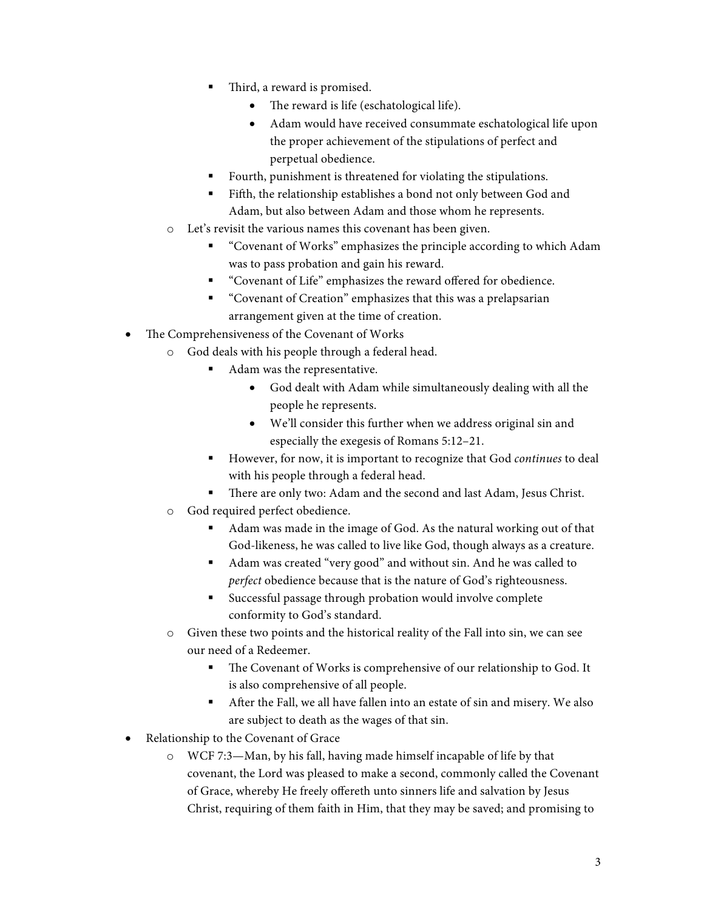- Third, a reward is promised.
	- The reward is life (eschatological life).
	- Adam would have received consummate eschatological life upon the proper achievement of the stipulations of perfect and perpetual obedience.
- Fourth, punishment is threatened for violating the stipulations.
- Fifth, the relationship establishes a bond not only between God and Adam, but also between Adam and those whom he represents.
- o Let's revisit the various names this covenant has been given.
	- § "Covenant of Works" emphasizes the principle according to which Adam was to pass probation and gain his reward.
	- "Covenant of Life" emphasizes the reward offered for obedience.
	- "Covenant of Creation" emphasizes that this was a prelapsarian arrangement given at the time of creation.
- The Comprehensiveness of the Covenant of Works
	- o God deals with his people through a federal head.
		- Adam was the representative.
			- God dealt with Adam while simultaneously dealing with all the people he represents.
			- We'll consider this further when we address original sin and especially the exegesis of Romans 5:12–21.
		- However, for now, it is important to recognize that God *continues* to deal with his people through a federal head.
		- § There are only two: Adam and the second and last Adam, Jesus Christ.
	- o God required perfect obedience.
		- Adam was made in the image of God. As the natural working out of that God-likeness, he was called to live like God, though always as a creature.
		- Adam was created "very good" and without sin. And he was called to *perfect* obedience because that is the nature of God's righteousness.
		- Successful passage through probation would involve complete conformity to God's standard.
	- o Given these two points and the historical reality of the Fall into sin, we can see our need of a Redeemer.
		- The Covenant of Works is comprehensive of our relationship to God. It is also comprehensive of all people.
		- § After the Fall, we all have fallen into an estate of sin and misery. We also are subject to death as the wages of that sin.
- Relationship to the Covenant of Grace
	- o WCF 7:3—Man, by his fall, having made himself incapable of life by that covenant, the Lord was pleased to make a second, commonly called the Covenant of Grace, whereby He freely offereth unto sinners life and salvation by Jesus Christ, requiring of them faith in Him, that they may be saved; and promising to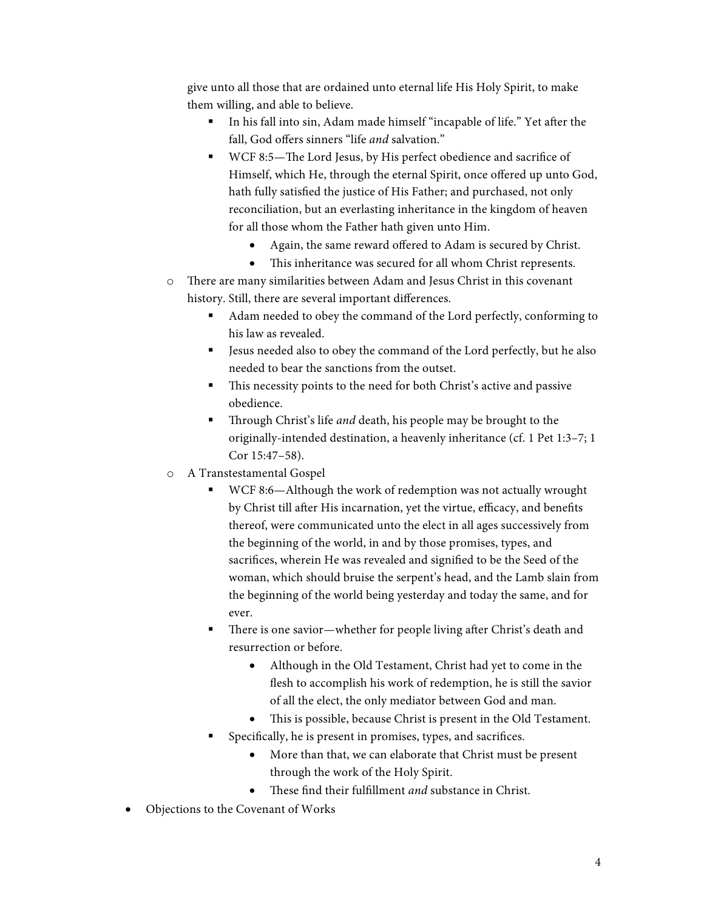give unto all those that are ordained unto eternal life His Holy Spirit, to make them willing, and able to believe.

- In his fall into sin, Adam made himself "incapable of life." Yet after the fall, God offers sinners "life *and* salvation."
- § WCF 8:5—The Lord Jesus, by His perfect obedience and sacrifice of Himself, which He, through the eternal Spirit, once offered up unto God, hath fully satisfied the justice of His Father; and purchased, not only reconciliation, but an everlasting inheritance in the kingdom of heaven for all those whom the Father hath given unto Him.
	- Again, the same reward offered to Adam is secured by Christ.
	- This inheritance was secured for all whom Christ represents.
- o There are many similarities between Adam and Jesus Christ in this covenant history. Still, there are several important differences.
	- Adam needed to obey the command of the Lord perfectly, conforming to his law as revealed.
	- Jesus needed also to obey the command of the Lord perfectly, but he also needed to bear the sanctions from the outset.
	- This necessity points to the need for both Christ's active and passive obedience.
	- § Through Christ's life *and* death, his people may be brought to the originally-intended destination, a heavenly inheritance (cf. 1 Pet 1:3–7; 1 Cor 15:47–58).
- o A Transtestamental Gospel
	- WCF 8:6—Although the work of redemption was not actually wrought by Christ till after His incarnation, yet the virtue, efficacy, and benefits thereof, were communicated unto the elect in all ages successively from the beginning of the world, in and by those promises, types, and sacrifices, wherein He was revealed and signified to be the Seed of the woman, which should bruise the serpent's head, and the Lamb slain from the beginning of the world being yesterday and today the same, and for ever.
	- § There is one savior—whether for people living after Christ's death and resurrection or before.
		- Although in the Old Testament, Christ had yet to come in the flesh to accomplish his work of redemption, he is still the savior of all the elect, the only mediator between God and man.
		- This is possible, because Christ is present in the Old Testament.
		- § Specifically, he is present in promises, types, and sacrifices.
			- More than that, we can elaborate that Christ must be present through the work of the Holy Spirit.
			- These find their fulfillment *and* substance in Christ.
- Objections to the Covenant of Works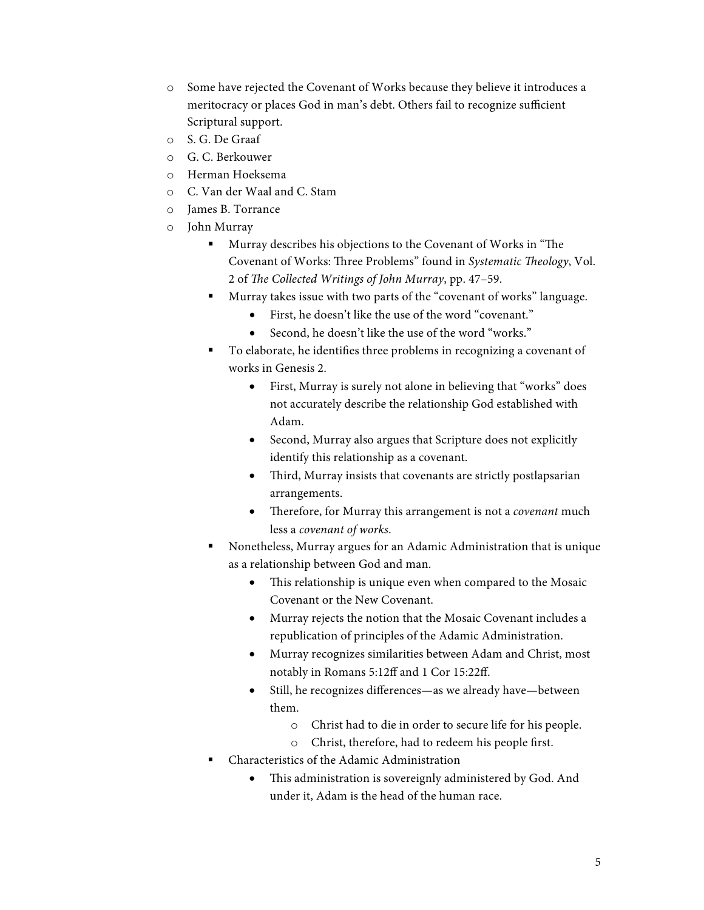- o Some have rejected the Covenant of Works because they believe it introduces a meritocracy or places God in man's debt. Others fail to recognize sufficient Scriptural support.
- o S. G. De Graaf
- o G. C. Berkouwer
- o Herman Hoeksema
- o C. Van der Waal and C. Stam
- o James B. Torrance
- o John Murray
	- Murray describes his objections to the Covenant of Works in "The Covenant of Works: Three Problems" found in *Systematic Theology*, Vol. 2 of *The Collected Writings of John Murray*, pp. 47–59.
	- Murray takes issue with two parts of the "covenant of works" language.
		- First, he doesn't like the use of the word "covenant."
		- Second, he doesn't like the use of the word "works."
	- § To elaborate, he identifies three problems in recognizing a covenant of works in Genesis 2.
		- First, Murray is surely not alone in believing that "works" does not accurately describe the relationship God established with Adam.
		- Second, Murray also argues that Scripture does not explicitly identify this relationship as a covenant.
		- Third, Murray insists that covenants are strictly postlapsarian arrangements.
		- Therefore, for Murray this arrangement is not a *covenant* much less a *covenant of works*.
	- § Nonetheless, Murray argues for an Adamic Administration that is unique as a relationship between God and man.
		- This relationship is unique even when compared to the Mosaic Covenant or the New Covenant.
		- Murray rejects the notion that the Mosaic Covenant includes a republication of principles of the Adamic Administration.
		- Murray recognizes similarities between Adam and Christ, most notably in Romans 5:12ff and 1 Cor 15:22ff.
		- Still, he recognizes differences—as we already have—between them.
			- o Christ had to die in order to secure life for his people.
			- o Christ, therefore, had to redeem his people first.
	- § Characteristics of the Adamic Administration
		- This administration is sovereignly administered by God. And under it, Adam is the head of the human race.